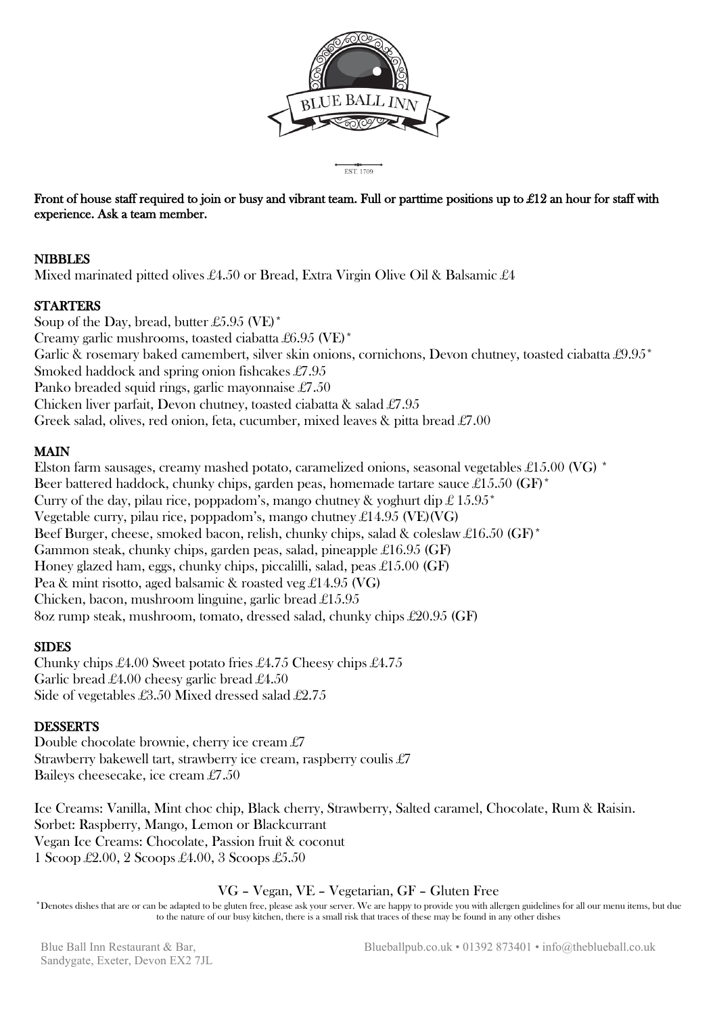

EST 1709

**Front of house staff required to join or busy and vibrant team. Full or parttime positions up to £12 an hour for staff with experience. Ask a team member.** 

## **NIBBLES**

Mixed marinated pitted olives £4.50 or Bread, Extra Virgin Olive Oil & Balsamic £4

## **STARTERS**

Soup of the Day, bread, butter £5.95 (VE)\* Creamy garlic mushrooms, toasted ciabatta £6.95 (VE)\* Garlic & rosemary baked camembert, silver skin onions, cornichons, Devon chutney, toasted ciabatta £9.95<sup>\*</sup> Smoked haddock and spring onion fishcakes £7.95 Panko breaded squid rings, garlic mayonnaise £7.50 Chicken liver parfait, Devon chutney, toasted ciabatta & salad £7.95 Greek salad, olives, red onion, feta, cucumber, mixed leaves & pitta bread £7.00

## **MAIN**

Elston farm sausages, creamy mashed potato, caramelized onions, seasonal vegetables £15.00 (VG) \* Beer battered haddock, chunky chips, garden peas, homemade tartare sauce £15.50 (GF)<sup>\*</sup> Curry of the day, pilau rice, poppadom's, mango chutney & yoghurt dip  $\pounds$  15.95<sup>\*</sup> Vegetable curry, pilau rice, poppadom's, mango chutney  $\pounds$ 14.95 (VE)(VG) Beef Burger, cheese, smoked bacon, relish, chunky chips, salad & coleslaw £16.50 (GF)\* Gammon steak, chunky chips, garden peas, salad, pineapple £16.95 (GF) Honey glazed ham, eggs, chunky chips, piccalilli, salad, peas £15.00 (GF) Pea & mint risotto, aged balsamic & roasted veg £14.95 (VG) Chicken, bacon, mushroom linguine, garlic bread £15.95 8oz rump steak, mushroom, tomato, dressed salad, chunky chips £20.95 (GF)

#### **SIDES**

Chunky chips £4.00 Sweet potato fries £4.75 Cheesy chips £4.75 Garlic bread £4.00 cheesy garlic bread £4.50 Side of vegetables £3.50 Mixed dressed salad £2.75

#### **DESSERTS**

Double chocolate brownie, cherry ice cream £7 Strawberry bakewell tart, strawberry ice cream, raspberry coulis £7 Baileys cheesecake, ice cream £7.50

Ice Creams: Vanilla, Mint choc chip, Black cherry, Strawberry, Salted caramel, Chocolate, Rum & Raisin. Sorbet: Raspberry, Mango, Lemon or Blackcurrant Vegan Ice Creams: Chocolate, Passion fruit & coconut 1 Scoop £2.00, 2 Scoops £4.00, 3 Scoops £5.50

#### VG – Vegan, VE – Vegetarian, GF – Gluten Free

\*Denotes dishes that are or can be adapted to be gluten free, please ask your server. We are happy to provide you with allergen guidelines for all our menu items, but due to the nature of our busy kitchen, there is a small risk that traces of these may be found in any other dishes